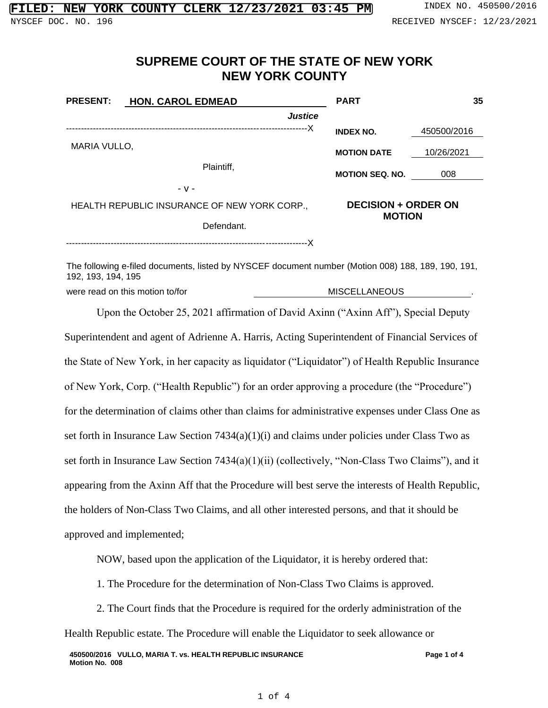## **SUPREME COURT OF THE STATE OF NEW YORK NEW YORK COUNTY**

| <b>PRESENT:</b>                              | <b>HON. CAROL EDMEAD</b> | <b>PART</b>                | 35            |  |  |
|----------------------------------------------|--------------------------|----------------------------|---------------|--|--|
|                                              | <b>Justice</b>           |                            |               |  |  |
|                                              | -----X                   | <b>INDEX NO.</b>           | 450500/2016   |  |  |
| MARIA VULLO,                                 |                          | <b>MOTION DATE</b>         | 10/26/2021    |  |  |
|                                              | Plaintiff,               | <b>MOTION SEQ. NO.</b>     | 008           |  |  |
|                                              | $-V -$                   |                            |               |  |  |
| HEALTH REPUBLIC INSURANCE OF NEW YORK CORP., |                          | <b>DECISION + ORDER ON</b> |               |  |  |
|                                              | Defendant.               |                            | <b>MOTION</b> |  |  |

---------------------------------------------------------------------------------X

The following e-filed documents, listed by NYSCEF document number (Motion 008) 188, 189, 190, 191, 192, 193, 194, 195

were read on this motion to/for **MISCELLANEOUS** 

Upon the October 25, 2021 affirmation of David Axinn ("Axinn Aff"), Special Deputy Superintendent and agent of Adrienne A. Harris, Acting Superintendent of Financial Services of the State of New York, in her capacity as liquidator ("Liquidator") of Health Republic Insurance of New York, Corp. ("Health Republic") for an order approving a procedure (the "Procedure") for the determination of claims other than claims for administrative expenses under Class One as set forth in Insurance Law Section 7434(a)(1)(i) and claims under policies under Class Two as set forth in Insurance Law Section 7434(a)(1)(ii) (collectively, "Non-Class Two Claims"), and it appearing from the Axinn Aff that the Procedure will best serve the interests of Health Republic, the holders of Non-Class Two Claims, and all other interested persons, and that it should be approved and implemented;

NOW, based upon the application of the Liquidator, it is hereby ordered that:

1. The Procedure for the determination of Non-Class Two Claims is approved.

2. The Court finds that the Procedure is required for the orderly administration of the Health Republic estate. The Procedure will enable the Liquidator to seek allowance or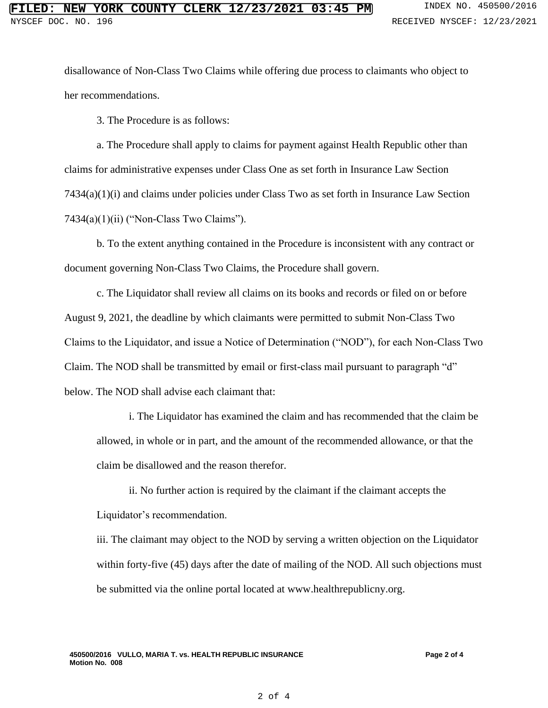disallowance of Non-Class Two Claims while offering due process to claimants who object to her recommendations.

3. The Procedure is as follows:

a. The Procedure shall apply to claims for payment against Health Republic other than claims for administrative expenses under Class One as set forth in Insurance Law Section 7434(a)(1)(i) and claims under policies under Class Two as set forth in Insurance Law Section 7434(a)(1)(ii) ("Non-Class Two Claims").

b. To the extent anything contained in the Procedure is inconsistent with any contract or document governing Non-Class Two Claims, the Procedure shall govern.

c. The Liquidator shall review all claims on its books and records or filed on or before August 9, 2021, the deadline by which claimants were permitted to submit Non-Class Two Claims to the Liquidator, and issue a Notice of Determination ("NOD"), for each Non-Class Two Claim. The NOD shall be transmitted by email or first-class mail pursuant to paragraph "d" below. The NOD shall advise each claimant that:

i. The Liquidator has examined the claim and has recommended that the claim be allowed, in whole or in part, and the amount of the recommended allowance, or that the claim be disallowed and the reason therefor.

ii. No further action is required by the claimant if the claimant accepts the Liquidator's recommendation.

iii. The claimant may object to the NOD by serving a written objection on the Liquidator within forty-five (45) days after the date of mailing of the NOD. All such objections must be submitted via the online portal located at www.healthrepublicny.org.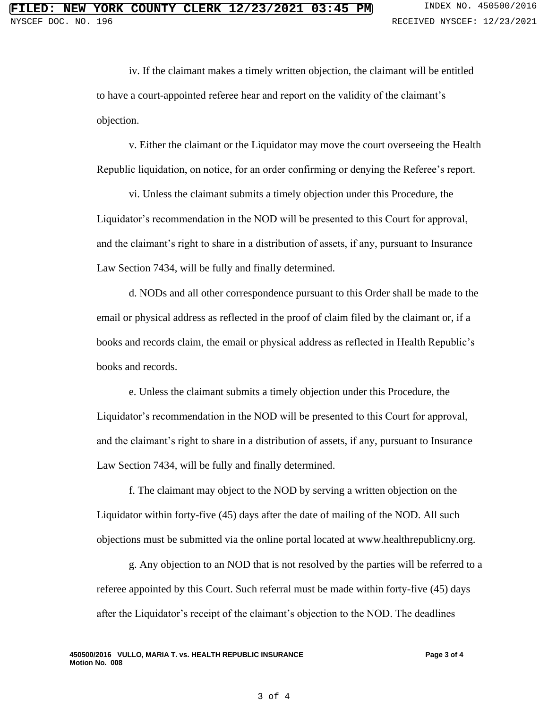iv. If the claimant makes a timely written objection, the claimant will be entitled to have a court-appointed referee hear and report on the validity of the claimant's objection.

v. Either the claimant or the Liquidator may move the court overseeing the Health Republic liquidation, on notice, for an order confirming or denying the Referee's report.

vi. Unless the claimant submits a timely objection under this Procedure, the Liquidator's recommendation in the NOD will be presented to this Court for approval, and the claimant's right to share in a distribution of assets, if any, pursuant to Insurance Law Section 7434, will be fully and finally determined.

d. NODs and all other correspondence pursuant to this Order shall be made to the email or physical address as reflected in the proof of claim filed by the claimant or, if a books and records claim, the email or physical address as reflected in Health Republic's books and records.

e. Unless the claimant submits a timely objection under this Procedure, the Liquidator's recommendation in the NOD will be presented to this Court for approval, and the claimant's right to share in a distribution of assets, if any, pursuant to Insurance Law Section 7434, will be fully and finally determined.

f. The claimant may object to the NOD by serving a written objection on the Liquidator within forty-five (45) days after the date of mailing of the NOD. All such objections must be submitted via the online portal located at www.healthrepublicny.org.

g. Any objection to an NOD that is not resolved by the parties will be referred to a referee appointed by this Court. Such referral must be made within forty-five (45) days after the Liquidator's receipt of the claimant's objection to the NOD. The deadlines